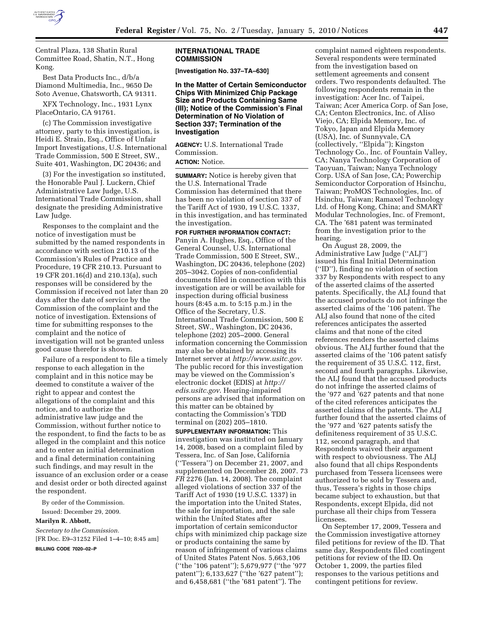

Central Plaza, 138 Shatin Rural Committee Road, Shatin, N.T., Hong Kong.

Best Data Products Inc., d/b/a Diamond Multimedia, Inc., 9650 De Soto Avenue, Chatsworth, CA 91311.

XFX Technology, Inc., 1931 Lynx PlaceOntario, CA 91761.

(c) The Commission investigative attorney, party to this investigation, is Heidi E. Strain, Esq., Office of Unfair Import Investigations, U.S. International Trade Commission, 500 E Street, SW., Suite 401, Washington, DC 20436; and

(3) For the investigation so instituted, the Honorable Paul J. Luckern, Chief Administrative Law Judge, U.S. International Trade Commission, shall designate the presiding Administrative Law Judge.

Responses to the complaint and the notice of investigation must be submitted by the named respondents in accordance with section 210.13 of the Commission's Rules of Practice and Procedure, 19 CFR 210.13. Pursuant to 19 CFR 201.16(d) and 210.13(a), such responses will be considered by the Commission if received not later than 20 days after the date of service by the Commission of the complaint and the notice of investigation. Extensions of time for submitting responses to the complaint and the notice of investigation will not be granted unless good cause therefor is shown.

Failure of a respondent to file a timely response to each allegation in the complaint and in this notice may be deemed to constitute a waiver of the right to appear and contest the allegations of the complaint and this notice, and to authorize the administrative law judge and the Commission, without further notice to the respondent, to find the facts to be as alleged in the complaint and this notice and to enter an initial determination and a final determination containing such findings, and may result in the issuance of an exclusion order or a cease and desist order or both directed against the respondent.

By order of the Commission.

Issued: December 29, 2009.

## **Marilyn R. Abbott,**

*Secretary to the Commission.*  [FR Doc. E9–31252 Filed 1–4–10; 8:45 am] **BILLING CODE 7020–02–P** 

#### **INTERNATIONAL TRADE COMMISSION**

**[Investigation No. 337–TA–630]** 

**In the Matter of Certain Semiconductor Chips With Minimized Chip Package Size and Products Containing Same (III); Notice of the Commission's Final Determination of No Violation of Section 337; Termination of the Investigation** 

**AGENCY:** U.S. International Trade Commission.

# **ACTION:** Notice.

**SUMMARY:** Notice is hereby given that the U.S. International Trade Commission has determined that there has been no violation of section 337 of the Tariff Act of 1930, 19 U.S.C. 1337, in this investigation, and has terminated the investigation.

#### **FOR FURTHER INFORMATION CONTACT:**

Panyin A. Hughes, Esq., Office of the General Counsel, U.S. International Trade Commission, 500 E Street, SW., Washington, DC 20436, telephone (202) 205–3042. Copies of non-confidential documents filed in connection with this investigation are or will be available for inspection during official business hours (8:45 a.m. to 5:15 p.m.) in the Office of the Secretary, U.S. International Trade Commission, 500 E Street, SW., Washington, DC 20436, telephone (202) 205–2000. General information concerning the Commission may also be obtained by accessing its Internet server at *http://www.usitc.gov*. The public record for this investigation may be viewed on the Commission's electronic docket (EDIS) at *http:// edis.usitc.gov*. Hearing-impaired persons are advised that information on this matter can be obtained by contacting the Commission's TDD terminal on (202) 205–1810.

**SUPPLEMENTARY INFORMATION:** This investigation was instituted on January 14, 2008, based on a complaint filed by Tessera, Inc. of San Jose, California (''Tessera'') on December 21, 2007, and supplemented on December 28, 2007. 73 *FR* 2276 (Jan. 14, 2008). The complaint alleged violations of section 337 of the Tariff Act of 1930 (19 U.S.C. 1337) in the importation into the United States, the sale for importation, and the sale within the United States after importation of certain semiconductor chips with minimized chip package size or products containing the same by reason of infringement of various claims of United States Patent Nos. 5,663,106 (''the '106 patent''); 5,679,977 (''the '977 patent"); 6,133,627 ("the '627 patent"); and 6,458,681 (''the '681 patent''). The

complaint named eighteen respondents. Several respondents were terminated from the investigation based on settlement agreements and consent orders. Two respondents defaulted. The following respondents remain in the investigation: Acer Inc. of Taipei, Taiwan; Acer America Corp. of San Jose, CA; Centon Electronics, Inc. of Aliso Viejo, CA; Elpida Memory, Inc. of Tokyo, Japan and Elpida Memory (USA), Inc. of Sunnyvale, CA (collectively, ''Elpida''); Kingston Technology Co., Inc. of Fountain Valley, CA; Nanya Technology Corporation of Taoyuan, Taiwan; Nanya Technology Corp. USA of San Jose, CA; Powerchip Semiconductor Corporation of Hsinchu, Taiwan; ProMOS Technologies, Inc. of Hsinchu, Taiwan; Ramaxel Technology Ltd. of Hong Kong, China; and SMART Modular Technologies, Inc. of Fremont, CA. The '681 patent was terminated from the investigation prior to the hearing.

On August 28, 2009, the Administrative Law Judge (''ALJ'') issued his final Initial Determination (''ID''), finding no violation of section 337 by Respondents with respect to any of the asserted claims of the asserted patents. Specifically, the ALJ found that the accused products do not infringe the asserted claims of the '106 patent. The ALJ also found that none of the cited references anticipates the asserted claims and that none of the cited references renders the asserted claims obvious. The ALJ further found that the asserted claims of the '106 patent satisfy the requirement of 35 U.S.C. 112, first, second and fourth paragraphs. Likewise, the ALJ found that the accused products do not infringe the asserted claims of the '977 and '627 patents and that none of the cited references anticipates the asserted claims of the patents. The ALJ further found that the asserted claims of the '977 and '627 patents satisfy the definiteness requirement of 35 U.S.C. 112, second paragraph, and that Respondents waived their argument with respect to obviousness. The ALJ also found that all chips Respondents purchased from Tessera licensees were authorized to be sold by Tessera and, thus, Tessera's rights in those chips became subject to exhaustion, but that Respondents, except Elpida, did not purchase all their chips from Tessera licensees.

On September 17, 2009, Tessera and the Commission investigative attorney filed petitions for review of the ID. That same day, Respondents filed contingent petitions for review of the ID. On October 1, 2009, the parties filed responses to the various petitions and contingent petitions for review.